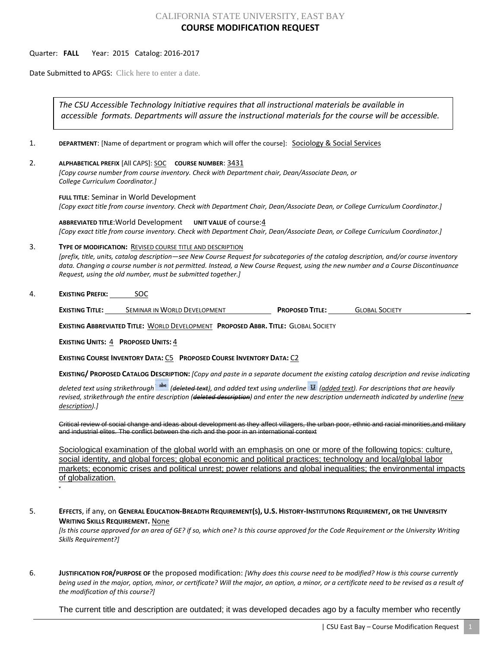## CALIFORNIA STATE UNIVERSITY, EAST BAY **COURSE MODIFICATION REQUEST**

## Quarter: **FALL** Year: 2015 Catalog: 2016-2017

Date Submitted to APGS: Click here to enter a date.

*College Curriculum Coordinator.]* 

*The CSU Accessible Technology Initiative requires that all instructional materials be available in accessible formats. Departments will assure the instructional materials for the course will be accessible.*

- 1. **DEPARTMENT:** [Name of department or program which will offer the course]: **Sociology & Social Services**
- 2. **ALPHABETICAL PREFIX** [All CAPS]: SOC **COURSE NUMBER**: 3431 *[Copy course number from course inventory. Check with Department chair, Dean/Associate Dean, or*

**FULL TITLE**: Seminar in World Development *[Copy exact title from course inventory. Check with Department Chair, Dean/Associate Dean, or College Curriculum Coordinator.]*

**ABBREVIATED TITLE**:World Development **UNIT VALUE** of course:4 *[Copy exact title from course inventory. Check with Department Chair, Dean/Associate Dean, or College Curriculum Coordinator.]*

## 3. **TYPE OF MODIFICATION:** REVISED COURSE TITLE AND DESCRIPTION

*[prefix, title, units, catalog description—see New Course Request for subcategories of the catalog description, and/or course inventory data. Changing a course number is not permitted. Instead, a New Course Request, using the new number and a Course Discontinuance Request, using the old number, must be submitted together.]*

4. **EXISTING PREFIX:** SOC

**EXISTING TITLE:** SEMINAR IN WORLD DEVELOPMENT **PROPOSED TITLE:** GLOBAL SOCIETY

**EXISTING ABBREVIATED TITLE:** WORLD DEVELOPMENT **PROPOSED ABBR. TITLE:** GLOBAL SOCIETY

**EXISTING UNITS:** 4 **PROPOSED UNITS:** 4

**EXISTING COURSE INVENTORY DATA:** C5 **PROPOSED COURSE INVENTORY DATA:** C2

**EXISTING/ PROPOSED CATALOG DESCRIPTION:** *[Copy and paste in a separate document the existing catalog description and revise indicating* 

*deleted text using strikethrough (deleted text), and added text using underline (added text). For descriptions that are heavily revised, strikethrough the entire description (deleted description) and enter the new description underneath indicated by underline (new description).]*

Critical review of social change and ideas about development as they affect villagers, the urban poor, ethnic and racial minorities, and military and industrial elites. The conflict between the rich and the poor in an international context

Sociological examination of the global world with an emphasis on one or more of the following topics: culture, social identity, and global forces; global economic and political practices; technology and local/global labor markets; economic crises and political unrest; power relations and global inequalities; the environmental impacts of globalization. .

5. **EFFECTS**, if any, on **GENERAL EDUCATION-BREADTH REQUIREMENT(S), U.S. HISTORY-INSTITUTIONS REQUIREMENT, OR THE UNIVERSITY WRITING SKILLS REQUIREMENT.** None

*[Is this course approved for an area of GE? if so, which one? Is this course approved for the Code Requirement or the University Writing Skills Requirement?]*

6. **JUSTIFICATION FOR/PURPOSE OF** the proposed modification: *[Why does this course need to be modified? How is this course currently being used in the major, option, minor, or certificate? Will the major, an option, a minor, or a certificate need to be revised as a result of the modification of this course?]*

The current title and description are outdated; it was developed decades ago by a faculty member who recently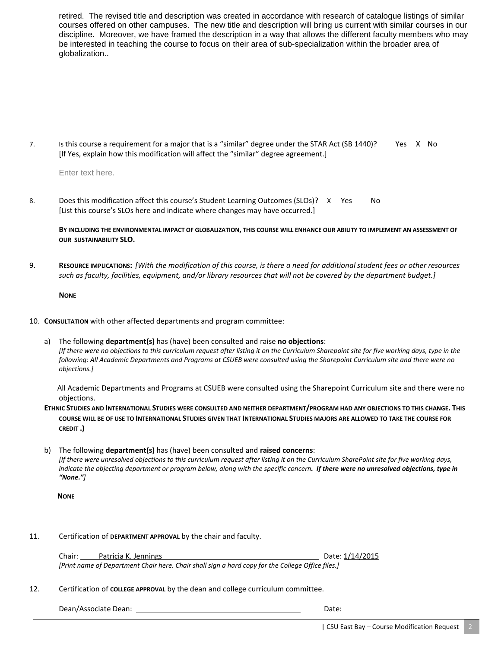retired. The revised title and description was created in accordance with research of catalogue listings of similar courses offered on other campuses. The new title and description will bring us current with similar courses in our discipline. Moreover, we have framed the description in a way that allows the different faculty members who may be interested in teaching the course to focus on their area of sub-specialization within the broader area of globalization..

7. Is this course a requirement for a major that is a "similar" degree under the STAR Act (SB 1440)? Yes X No [If Yes, explain how this modification will affect the "similar" degree agreement.]

Enter text here.

8. Does this modification affect this course's Student Learning Outcomes (SLOs)? X Yes No [List this course's SLOs here and indicate where changes may have occurred.]

**BY INCLUDING THE ENVIRONMENTAL IMPACT OF GLOBALIZATION, THIS COURSE WILL ENHANCE OUR ABILITY TO IMPLEMENT AN ASSESSMENT OF OUR SUSTAINABILITY SLO.**

9. **RESOURCE IMPLICATIONS:** *[With the modification of this course, is there a need for additional student fees or other resources such as faculty, facilities, equipment, and/or library resources that will not be covered by the department budget.]*

 **NONE**

- 10. **CONSULTATION** with other affected departments and program committee:
	- a) The following **department(s)** has (have) been consulted and raise **no objections**: *[If there were no objections to this curriculum request after listing it on the Curriculum Sharepoint site for five working days, type in the following: All Academic Departments and Programs at CSUEB were consulted using the Sharepoint Curriculum site and there were no objections.]*

 All Academic Departments and Programs at CSUEB were consulted using the Sharepoint Curriculum site and there were no objections.

**ETHNIC STUDIES AND INTERNATIONAL STUDIES WERE CONSULTED AND NEITHER DEPARTMENT/PROGRAM HAD ANY OBJECTIONS TO THIS CHANGE. THIS COURSE WILL BE OF USE TO INTERNATIONAL STUDIES GIVEN THAT INTERNATIONAL STUDIES MAJORS ARE ALLOWED TO TAKE THE COURSE FOR CREDIT .)**

b) The following **department(s)** has (have) been consulted and **raised concerns**: *[If there were unresolved objections to this curriculum request after listing it on the Curriculum SharePoint site for five working days, indicate the objecting department or program below, along with the specific concern. If there were no unresolved objections, type in "None."]*

**NONE**

11. Certification of **DEPARTMENT APPROVAL** by the chair and faculty.

Chair: Patricia K. Jennings Date: 1/14/2015

*[Print name of Department Chair here. Chair shall sign a hard copy for the College Office files.]*

12. Certification of **COLLEGE APPROVAL** by the dean and college curriculum committee.

Dean/Associate Dean: Date: